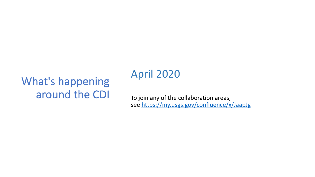# What's happening around the CDI

# April 2020

To join any of the collabora see https://my.usgs.gov/co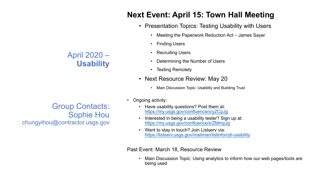# **Next Event: April 15**

- Presentation Topics:
	- Meeting the Paperwor
	- **[Finding Users](https://my.usgs.gov/confluence/x/ZMmpJg)**
	- **[Recruiting Users](https://listserv.usgs.gov/mailman/listinfo/cdi-usability)**
	- Determining the Numl
	- Testing Remotely
- Next Resource Revie
	- Main Discussion Topic: U
- Ongoing activity:
	- Have usability questions? P https://my.usgs.gov/confluen
	- Interested in being a usabili https://my.usgs.gov/conflue
	- Want to stay in touch? Join https://listserv.usgs.gov/mai

Past Event: March 18, Resource

Main Discussion Topic: Usir being used

April 2020 – **Usability**

Group Contacts: Sophie Hou chungyihou@contractor.usgs.gov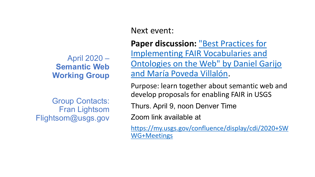# April 2020 – **Semantic Web Working Group**

Group Contacts: Fran Lightsom Flightsom@usgs.gov Next event:

**Paper discussion: Implementing FAIR Ontologies on the '** and María Poveda

Purpose: learn togeth develop proposals for

Thurs. April 9, noon D

Zoom link available at

https://my.usgs.gov/con WG+Meetings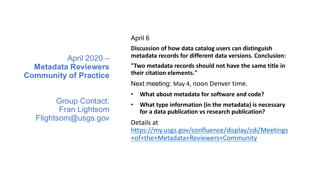# April 2020 – **Metadata Reviewers Community of Practice**

Group Contact: Fran Lightsom Flightsom@usgs.gov

### April 6

**Discussion of how data catalog users metadata records for differ** 

"Two metadata records sh **their citation elements."**

Next meeting: May 4, no

- **What about metadata**
- **What type information** for a data publication **v**

Details at https://my.usgs.gov/con +of+the+Metadata+Rev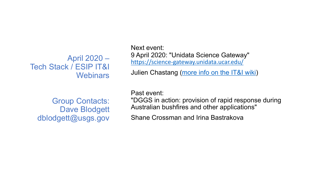April 2020 – Tech Stack / ESIP IT&I **Webinars** 

Next event: 9 April 2020: "Unidata S https://science-gateway.ul

Julien Chastang (more in

Group Contacts: Dave Blodgett dblodgett@usgs.gov

Past event: "DGGS in action: provisi Australian bushfires and

Shane Crossman and Ir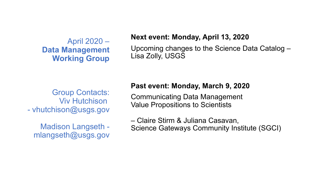# April 2020 – **Data Management Working Group**

#### **Next event: Monday, April 13, 2020**

Upcoming changes to the Science Data Catalog – Lisa Zolly, USGS

Group Contacts: Viv Hutchison - vhutchison@usgs.gov

Madison Langseth mlangseth@usgs.gov

#### **Past event: Monday, March 9, 2020**

Communicating Data Management Value Propositions to Scientists

– Claire Stirm & Juliana Casavan,

Science Gateways Community Institute (SGCI)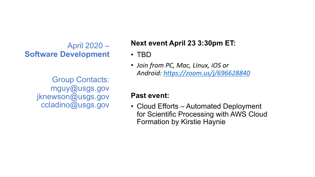# April 2020 – **Software Development**

Group Contacts: mguy@usgs.gov jknewson@usgs.gov ccladino@usgs.gov

# **Next event April 23 3**

- TBD
- *Join from PC, Mac, Lin Android: https://zoom.us/j/696628840*

# **Past event:**

• Cloud Efforts  $-$  Auto for Scientific Proces **Formation by Kirstie**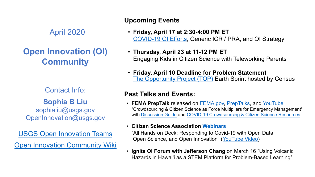# April 2020

# **[Open Innovation \(OI\)](https://teams.microsoft.com/l/team/19%253aee13de3f499f409f88d75a4652ec366c%2540thread.skype/conversations%3FgroupId=4e99c117-dca7-44e4-9ca7-716c80b49ca3&tenantId=0693b5ba-4b18-4d7b-9341-f32f400a5494)  [Community](https://my.usgs.gov/confluence/display/cdi/Open+Innovation+Community)**

Contact Info:

#### **Sophia B Liu**

sophialiu@usgs.gov OpenInnovation@usgs.gov

USGS Open Innovation Teams

**Open Innovation Community Wiki** 

#### **Upcoming Events**

- **Fri[day, April 17 a](https://www.fema.gov/media-library/assets/documents/186382)t 2:30-4** COVID-19 OI Efforts, Gen
- **Thursday, April 23 at 11-**Engaging Kids in Citizen S
- **Friday, April 10 Deadline** The Opportunity Project (To

#### **Past Talks and Events:**

- **FEMA PrepTalk** released on I "Crowdsourcing & Citizen Science with Discussion Guide and COVID-
- **Citizen Science Association** "All Hands on Deck: Respond Open Science, and Open Inn
- **Ignite OI Forum with Jeffers** Hazards in Hawai'i as a STEN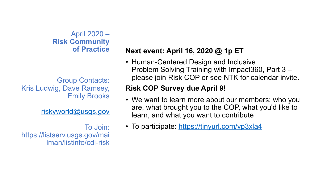# [April 2020 –](http://usgs.gov) **Risk Community of Practice**

Group Contacts: Kris Ludwig, Dave Ramsey, Emily Brooks

## riskyworld@usgs.gov

To Join: https://listserv.usgs.gov/mai lman/listinfo/cdi-risk

## **Next event: April 16, 2**

• Human-Centered Des Problem Solving Trair please join Risk COP

# **Risk COP Survey due**

- We want to learn more are, what brought you learn, and what you w
- To participate: https://